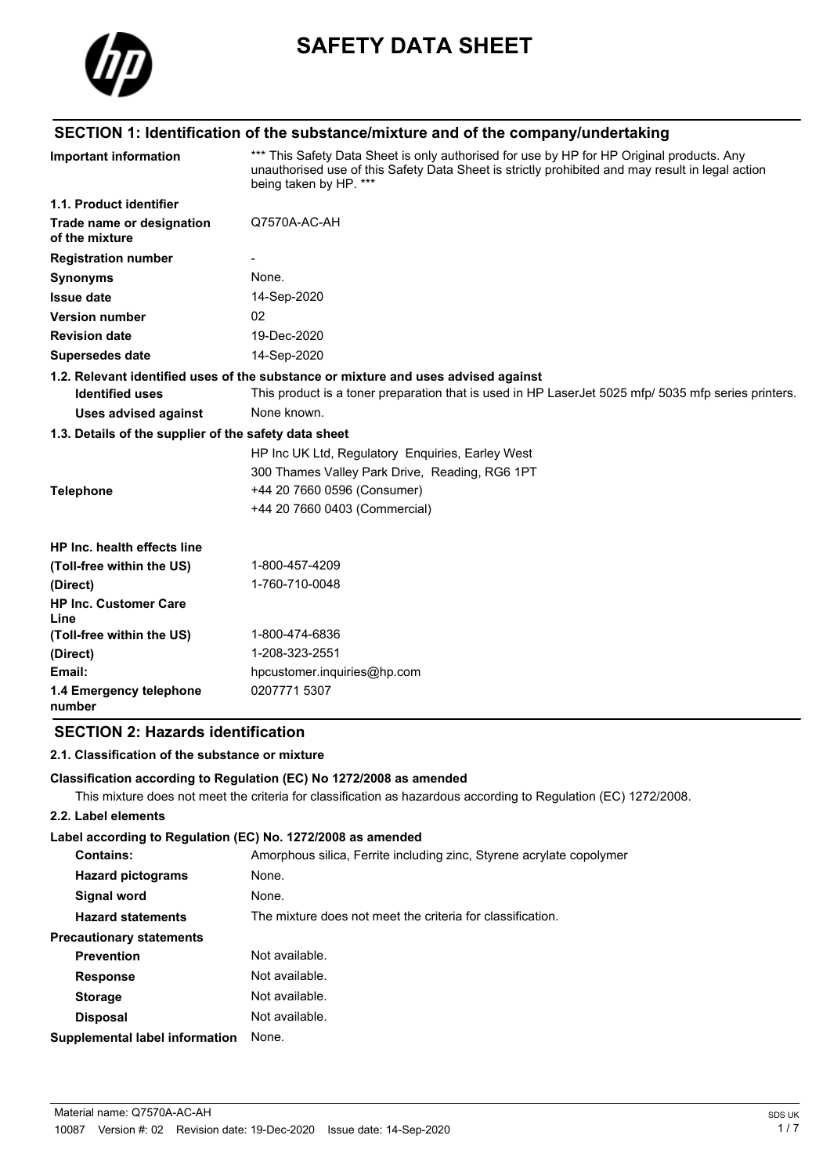

# **SAFETY DATA SHEET**

# **SECTION 1: Identification of the substance/mixture and of the company/undertaking**

| <b>Important information</b>                          | *** This Safety Data Sheet is only authorised for use by HP for HP Original products. Any<br>unauthorised use of this Safety Data Sheet is strictly prohibited and may result in legal action<br>being taken by HP. *** |
|-------------------------------------------------------|-------------------------------------------------------------------------------------------------------------------------------------------------------------------------------------------------------------------------|
| 1.1. Product identifier                               |                                                                                                                                                                                                                         |
| Trade name or designation<br>of the mixture           | Q7570A-AC-AH                                                                                                                                                                                                            |
| <b>Registration number</b>                            |                                                                                                                                                                                                                         |
| <b>Synonyms</b>                                       | None.                                                                                                                                                                                                                   |
| <b>Issue date</b>                                     | 14-Sep-2020                                                                                                                                                                                                             |
| <b>Version number</b>                                 | 02                                                                                                                                                                                                                      |
| <b>Revision date</b>                                  | 19-Dec-2020                                                                                                                                                                                                             |
| <b>Supersedes date</b>                                | 14-Sep-2020                                                                                                                                                                                                             |
|                                                       | 1.2. Relevant identified uses of the substance or mixture and uses advised against                                                                                                                                      |
| <b>Identified uses</b>                                | This product is a toner preparation that is used in HP LaserJet 5025 mfp/ 5035 mfp series printers.                                                                                                                     |
| Uses advised against                                  | None known.                                                                                                                                                                                                             |
| 1.3. Details of the supplier of the safety data sheet |                                                                                                                                                                                                                         |
|                                                       | HP Inc UK Ltd, Regulatory Enquiries, Earley West                                                                                                                                                                        |
|                                                       | 300 Thames Valley Park Drive, Reading, RG6 1PT                                                                                                                                                                          |
| <b>Telephone</b>                                      | +44 20 7660 0596 (Consumer)                                                                                                                                                                                             |
|                                                       | +44 20 7660 0403 (Commercial)                                                                                                                                                                                           |
| HP Inc. health effects line                           |                                                                                                                                                                                                                         |
| (Toll-free within the US)                             | 1-800-457-4209                                                                                                                                                                                                          |
| (Direct)                                              | 1-760-710-0048                                                                                                                                                                                                          |
| <b>HP Inc. Customer Care</b><br>Line                  |                                                                                                                                                                                                                         |
| (Toll-free within the US)                             | 1-800-474-6836                                                                                                                                                                                                          |
| (Direct)                                              | 1-208-323-2551                                                                                                                                                                                                          |
| Email:                                                | hpcustomer.inquiries@hp.com                                                                                                                                                                                             |
| 1.4 Emergency telephone<br>number                     | 0207771 5307                                                                                                                                                                                                            |

## **SECTION 2: Hazards identification**

## **2.1. Classification of the substance or mixture**

#### **Classification according to Regulation (EC) No 1272/2008 as amended**

This mixture does not meet the criteria for classification as hazardous according to Regulation (EC) 1272/2008.

#### **2.2. Label elements**

#### **Label according to Regulation (EC) No. 1272/2008 as amended**

| Contains:                       | Amorphous silica, Ferrite including zinc, Styrene acrylate copolymer |
|---------------------------------|----------------------------------------------------------------------|
| <b>Hazard pictograms</b>        | None.                                                                |
| Signal word                     | None.                                                                |
| <b>Hazard statements</b>        | The mixture does not meet the criteria for classification.           |
| <b>Precautionary statements</b> |                                                                      |
| <b>Prevention</b>               | Not available.                                                       |
| <b>Response</b>                 | Not available.                                                       |
| <b>Storage</b>                  | Not available.                                                       |
| <b>Disposal</b>                 | Not available.                                                       |
| Supplemental label information  | None.                                                                |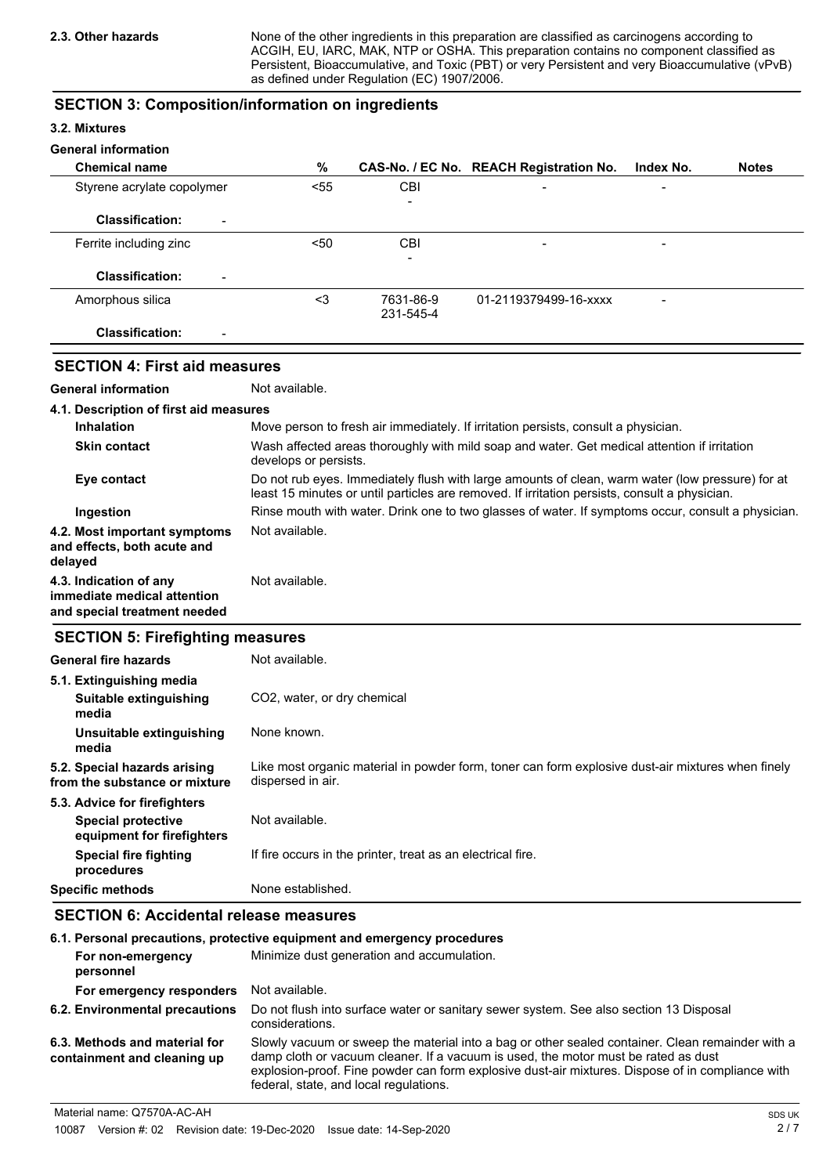None of the other ingredients in this preparation are classified as carcinogens according to ACGIH, EU, IARC, MAK, NTP or OSHA. This preparation contains no component classified as Persistent, Bioaccumulative, and Toxic (PBT) or very Persistent and very Bioaccumulative (vPvB) as defined under Regulation (EC) 1907/2006.

#### **SECTION 3: Composition/information on ingredients**

#### **3.2. Mixtures**

#### **General information**

| <b>Chemical name</b>                               | %    |                          | CAS-No. / EC No. REACH Registration No. | Index No.                | <b>Notes</b> |
|----------------------------------------------------|------|--------------------------|-----------------------------------------|--------------------------|--------------|
| Styrene acrylate copolymer                         | < 55 | CBI                      | $\qquad \qquad$                         | $\overline{\phantom{a}}$ |              |
|                                                    |      | $\overline{\phantom{a}}$ |                                         |                          |              |
| <b>Classification:</b><br>$\overline{\phantom{a}}$ |      |                          |                                         |                          |              |
| Ferrite including zinc                             | $50$ | <b>CBI</b>               | $\overline{\phantom{a}}$                | $\overline{\phantom{a}}$ |              |
|                                                    |      | ۰                        |                                         |                          |              |
| <b>Classification:</b><br>$\overline{\phantom{a}}$ |      |                          |                                         |                          |              |
| Amorphous silica                                   | <3   | 7631-86-9                | 01-2119379499-16-xxxx                   | -                        |              |
|                                                    |      | 231-545-4                |                                         |                          |              |
| <b>Classification:</b><br>$\overline{\phantom{0}}$ |      |                          |                                         |                          |              |

## **SECTION 4: First aid measures**

**General information** Not available.

| 4.1. Description of first aid measures                                                |                                                                                                                                                                                                   |
|---------------------------------------------------------------------------------------|---------------------------------------------------------------------------------------------------------------------------------------------------------------------------------------------------|
| <b>Inhalation</b>                                                                     | Move person to fresh air immediately. If irritation persists, consult a physician.                                                                                                                |
| <b>Skin contact</b>                                                                   | Wash affected areas thoroughly with mild soap and water. Get medical attention if irritation<br>develops or persists.                                                                             |
| Eye contact                                                                           | Do not rub eyes. Immediately flush with large amounts of clean, warm water (low pressure) for at<br>least 15 minutes or until particles are removed. If irritation persists, consult a physician. |
| Ingestion                                                                             | Rinse mouth with water. Drink one to two glasses of water. If symptoms occur, consult a physician.                                                                                                |
| 4.2. Most important symptoms<br>and effects, both acute and<br>delayed                | Not available.                                                                                                                                                                                    |
| 4.3. Indication of any<br>immediate medical attention<br>and special treatment needed | Not available.                                                                                                                                                                                    |

#### **SECTION 5: Firefighting measures**

| General fire hazards                                          | Not available.                                                                                                         |
|---------------------------------------------------------------|------------------------------------------------------------------------------------------------------------------------|
| 5.1. Extinguishing media                                      |                                                                                                                        |
| Suitable extinguishing<br>media                               | CO <sub>2</sub> , water, or dry chemical                                                                               |
| Unsuitable extinguishing<br>media                             | None known.                                                                                                            |
| 5.2. Special hazards arising<br>from the substance or mixture | Like most organic material in powder form, toner can form explosive dust-air mixtures when finely<br>dispersed in air. |
| 5.3. Advice for firefighters                                  |                                                                                                                        |
| <b>Special protective</b><br>equipment for firefighters       | Not available.                                                                                                         |
| Special fire fighting<br>procedures                           | If fire occurs in the printer, treat as an electrical fire.                                                            |
| <b>Specific methods</b>                                       | None established.                                                                                                      |

## **SECTION 6: Accidental release measures**

|                                                              | 6.1. Personal precautions, protective equipment and emergency procedures                                                                                                                                                                                                                                                             |
|--------------------------------------------------------------|--------------------------------------------------------------------------------------------------------------------------------------------------------------------------------------------------------------------------------------------------------------------------------------------------------------------------------------|
| For non-emergency<br>personnel                               | Minimize dust generation and accumulation.                                                                                                                                                                                                                                                                                           |
| For emergency responders                                     | Not available.                                                                                                                                                                                                                                                                                                                       |
| 6.2. Environmental precautions                               | Do not flush into surface water or sanitary sewer system. See also section 13 Disposal<br>considerations.                                                                                                                                                                                                                            |
| 6.3. Methods and material for<br>containment and cleaning up | Slowly vacuum or sweep the material into a bag or other sealed container. Clean remainder with a<br>damp cloth or vacuum cleaner. If a vacuum is used, the motor must be rated as dust<br>explosion-proof. Fine powder can form explosive dust-air mixtures. Dispose of in compliance with<br>federal, state, and local regulations. |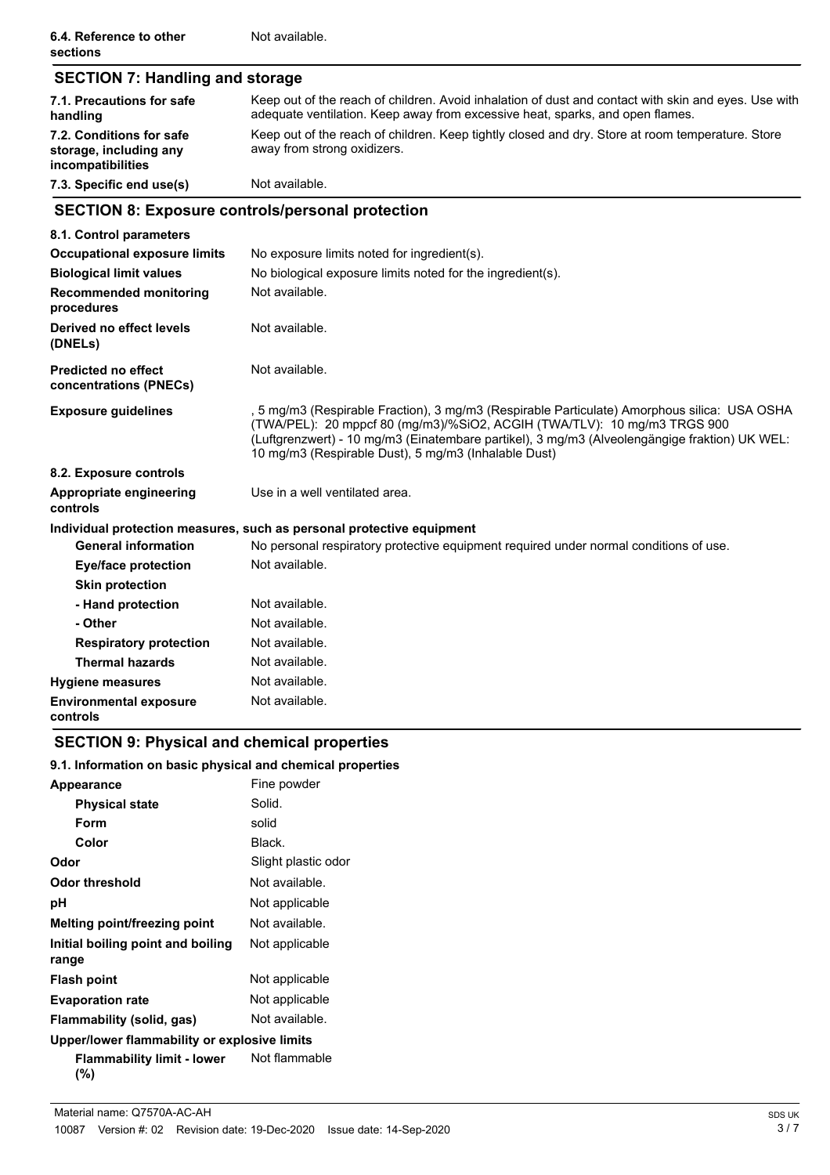| <b>SECTION 7: Handling and storage</b>                                  |                                                                                                                                                                                                                                                                                                                                   |  |  |
|-------------------------------------------------------------------------|-----------------------------------------------------------------------------------------------------------------------------------------------------------------------------------------------------------------------------------------------------------------------------------------------------------------------------------|--|--|
| 7.1. Precautions for safe<br>handling                                   | Keep out of the reach of children. Avoid inhalation of dust and contact with skin and eyes. Use with<br>adequate ventilation. Keep away from excessive heat, sparks, and open flames.                                                                                                                                             |  |  |
| 7.2. Conditions for safe<br>storage, including any<br>incompatibilities | Keep out of the reach of children. Keep tightly closed and dry. Store at room temperature. Store<br>away from strong oxidizers.                                                                                                                                                                                                   |  |  |
| 7.3. Specific end use(s)                                                | Not available.                                                                                                                                                                                                                                                                                                                    |  |  |
| <b>SECTION 8: Exposure controls/personal protection</b>                 |                                                                                                                                                                                                                                                                                                                                   |  |  |
| 8.1. Control parameters                                                 |                                                                                                                                                                                                                                                                                                                                   |  |  |
| <b>Occupational exposure limits</b>                                     | No exposure limits noted for ingredient(s).                                                                                                                                                                                                                                                                                       |  |  |
| <b>Biological limit values</b>                                          | No biological exposure limits noted for the ingredient(s).                                                                                                                                                                                                                                                                        |  |  |
| <b>Recommended monitoring</b><br>procedures                             | Not available.                                                                                                                                                                                                                                                                                                                    |  |  |
| Derived no effect levels<br>(DNELs)                                     | Not available.                                                                                                                                                                                                                                                                                                                    |  |  |
| <b>Predicted no effect</b><br>concentrations (PNECs)                    | Not available.                                                                                                                                                                                                                                                                                                                    |  |  |
| <b>Exposure guidelines</b>                                              | , 5 mg/m3 (Respirable Fraction), 3 mg/m3 (Respirable Particulate) Amorphous silica: USA OSHA<br>(TWA/PEL): 20 mppcf 80 (mg/m3)/%SiO2, ACGIH (TWA/TLV): 10 mg/m3 TRGS 900<br>(Luftgrenzwert) - 10 mg/m3 (Einatembare partikel), 3 mg/m3 (Alveolengängige fraktion) UK WEL:<br>10 mg/m3 (Respirable Dust), 5 mg/m3 (Inhalable Dust) |  |  |
| 8.2. Exposure controls                                                  |                                                                                                                                                                                                                                                                                                                                   |  |  |
| Appropriate engineering<br>controls                                     | Use in a well ventilated area.                                                                                                                                                                                                                                                                                                    |  |  |
|                                                                         | Individual protection measures, such as personal protective equipment                                                                                                                                                                                                                                                             |  |  |
| <b>General information</b>                                              | No personal respiratory protective equipment required under normal conditions of use.                                                                                                                                                                                                                                             |  |  |
| <b>Eye/face protection</b>                                              | Not available.                                                                                                                                                                                                                                                                                                                    |  |  |
| <b>Skin protection</b>                                                  |                                                                                                                                                                                                                                                                                                                                   |  |  |
| - Hand protection                                                       | Not available.                                                                                                                                                                                                                                                                                                                    |  |  |
| - Other                                                                 | Not available.                                                                                                                                                                                                                                                                                                                    |  |  |
| <b>Respiratory protection</b>                                           | Not available.                                                                                                                                                                                                                                                                                                                    |  |  |
| <b>Thermal hazards</b>                                                  | Not available.                                                                                                                                                                                                                                                                                                                    |  |  |
| <b>Hygiene measures</b>                                                 | Not available.                                                                                                                                                                                                                                                                                                                    |  |  |
| <b>Environmental exposure</b><br>controls                               | Not available.                                                                                                                                                                                                                                                                                                                    |  |  |

# **SECTION 9: Physical and chemical properties**

## **9.1. Information on basic physical and chemical properties**

| <b>Appearance</b>                            | Fine powder         |  |
|----------------------------------------------|---------------------|--|
| <b>Physical state</b>                        | Solid.              |  |
| Form                                         | solid               |  |
| Color                                        | Black.              |  |
| Odor                                         | Slight plastic odor |  |
| Odor threshold                               | Not available.      |  |
| рH                                           | Not applicable      |  |
| Melting point/freezing point                 | Not available.      |  |
| Initial boiling point and boiling<br>range   | Not applicable      |  |
| <b>Flash point</b>                           | Not applicable      |  |
| <b>Evaporation rate</b>                      | Not applicable      |  |
| Flammability (solid, gas)                    | Not available.      |  |
| Upper/lower flammability or explosive limits |                     |  |
| <b>Flammability limit - lower</b><br>(%)     | Not flammable       |  |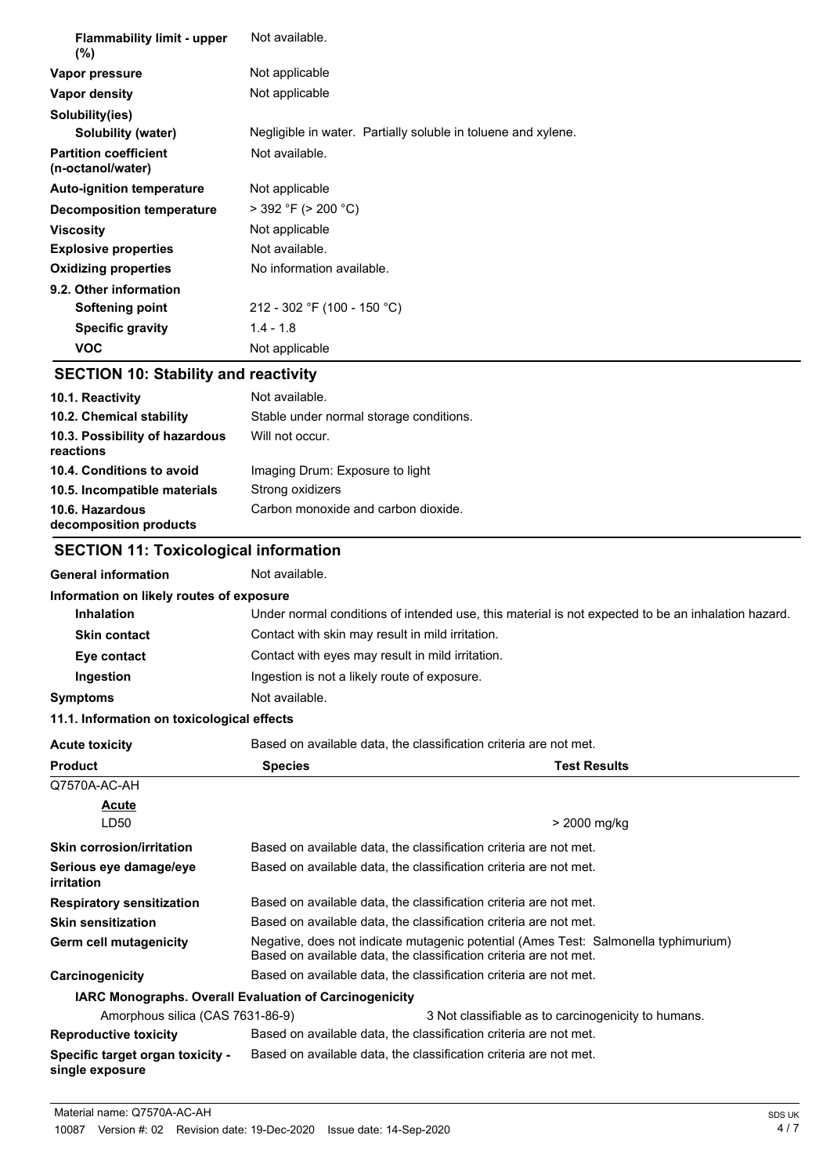| <b>Flammability limit - upper</b><br>$(\%)$       | Not available.                                                |
|---------------------------------------------------|---------------------------------------------------------------|
| Vapor pressure                                    | Not applicable                                                |
| Vapor density                                     | Not applicable                                                |
| Solubility(ies)                                   |                                                               |
| Solubility (water)                                | Negligible in water. Partially soluble in toluene and xylene. |
| <b>Partition coefficient</b><br>(n-octanol/water) | Not available.                                                |
| <b>Auto-ignition temperature</b>                  | Not applicable                                                |
| Decomposition temperature                         | $>$ 392 °F ( $>$ 200 °C)                                      |
| <b>Viscosity</b>                                  | Not applicable                                                |
| <b>Explosive properties</b>                       | Not available.                                                |
| <b>Oxidizing properties</b>                       | No information available.                                     |
| 9.2. Other information                            |                                                               |
| <b>Softening point</b>                            | 212 - 302 °F (100 - 150 °C)                                   |
| <b>Specific gravity</b>                           | $1.4 - 1.8$                                                   |
| <b>VOC</b>                                        | Not applicable                                                |

## **SECTION 10: Stability and reactivity**

| 10.1. Reactivity                            | Not available.                          |
|---------------------------------------------|-----------------------------------------|
| 10.2. Chemical stability                    | Stable under normal storage conditions. |
| 10.3. Possibility of hazardous<br>reactions | Will not occur.                         |
| 10.4. Conditions to avoid                   | Imaging Drum: Exposure to light         |
| 10.5. Incompatible materials                | Strong oxidizers                        |
| 10.6. Hazardous<br>decomposition products   | Carbon monoxide and carbon dioxide.     |

# **SECTION 11: Toxicological information**

| <b>General information</b>                                    | Not available.                                   |                                                                                                                                                          |
|---------------------------------------------------------------|--------------------------------------------------|----------------------------------------------------------------------------------------------------------------------------------------------------------|
| Information on likely routes of exposure                      |                                                  |                                                                                                                                                          |
| <b>Inhalation</b>                                             |                                                  | Under normal conditions of intended use, this material is not expected to be an inhalation hazard.                                                       |
| <b>Skin contact</b>                                           | Contact with skin may result in mild irritation. |                                                                                                                                                          |
| Eye contact                                                   | Contact with eyes may result in mild irritation. |                                                                                                                                                          |
| Ingestion                                                     | Ingestion is not a likely route of exposure.     |                                                                                                                                                          |
| <b>Symptoms</b>                                               | Not available.                                   |                                                                                                                                                          |
| 11.1. Information on toxicological effects                    |                                                  |                                                                                                                                                          |
| <b>Acute toxicity</b>                                         |                                                  | Based on available data, the classification criteria are not met.                                                                                        |
| <b>Product</b>                                                | <b>Species</b>                                   | <b>Test Results</b>                                                                                                                                      |
| Q7570A-AC-AH                                                  |                                                  |                                                                                                                                                          |
| <b>Acute</b>                                                  |                                                  |                                                                                                                                                          |
| LD <sub>50</sub>                                              |                                                  | > 2000 mg/kg                                                                                                                                             |
| <b>Skin corrosion/irritation</b>                              |                                                  | Based on available data, the classification criteria are not met.                                                                                        |
| Serious eye damage/eye<br>irritation                          |                                                  | Based on available data, the classification criteria are not met.                                                                                        |
| <b>Respiratory sensitization</b>                              |                                                  | Based on available data, the classification criteria are not met.                                                                                        |
| <b>Skin sensitization</b>                                     |                                                  | Based on available data, the classification criteria are not met.                                                                                        |
| Germ cell mutagenicity                                        |                                                  | Negative, does not indicate mutagenic potential (Ames Test: Salmonella typhimurium)<br>Based on available data, the classification criteria are not met. |
| Carcinogenicity                                               |                                                  | Based on available data, the classification criteria are not met.                                                                                        |
| <b>IARC Monographs. Overall Evaluation of Carcinogenicity</b> |                                                  |                                                                                                                                                          |
| Amorphous silica (CAS 7631-86-9)                              |                                                  | 3 Not classifiable as to carcinogenicity to humans.                                                                                                      |
| <b>Reproductive toxicity</b>                                  |                                                  | Based on available data, the classification criteria are not met.                                                                                        |
| Specific target organ toxicity -<br>single exposure           |                                                  | Based on available data, the classification criteria are not met.                                                                                        |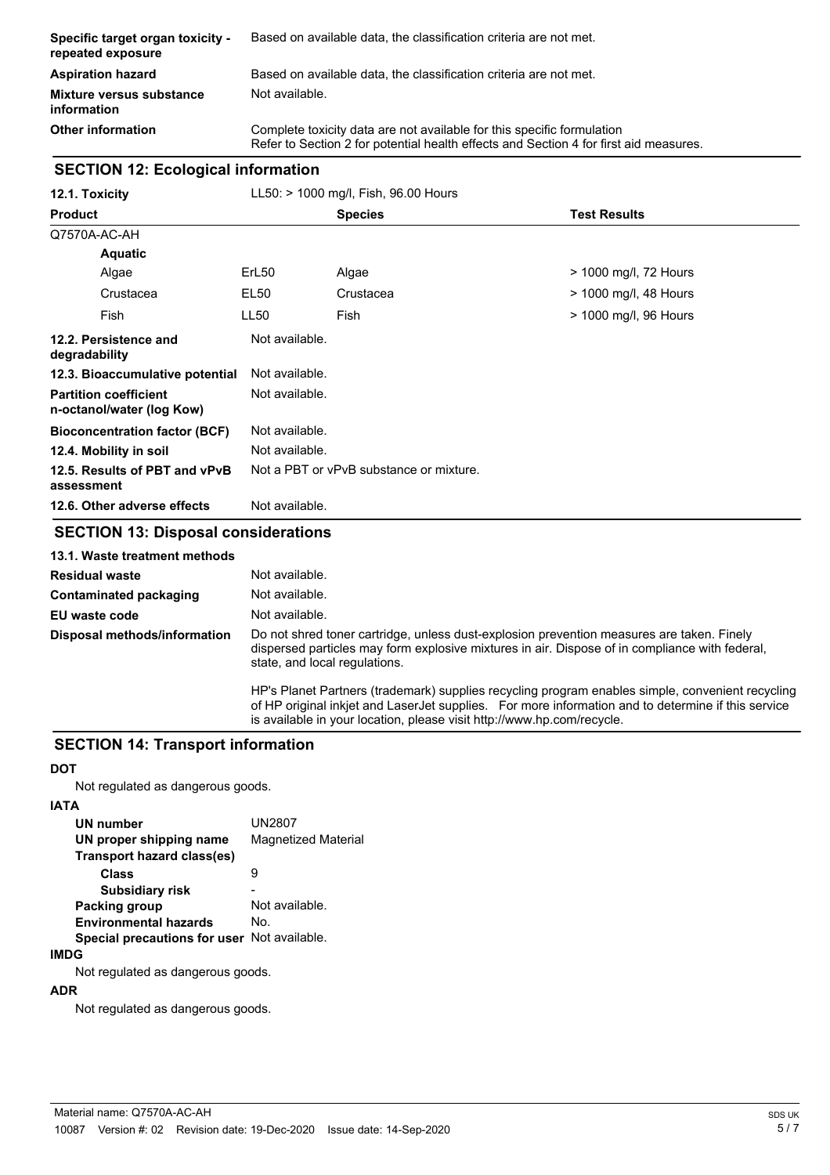| Specific target organ toxicity -<br>repeated exposure | Based on available data, the classification criteria are not met.                                                                                               |
|-------------------------------------------------------|-----------------------------------------------------------------------------------------------------------------------------------------------------------------|
| <b>Aspiration hazard</b>                              | Based on available data, the classification criteria are not met.                                                                                               |
| <b>Mixture versus substance</b><br>information        | Not available.                                                                                                                                                  |
| <b>Other information</b>                              | Complete toxicity data are not available for this specific formulation<br>Refer to Section 2 for potential health effects and Section 4 for first aid measures. |

## **SECTION 12: Ecological information**

| 12.1. Toxicity                                            | LL50: > 1000 mg/l, Fish, 96.00 Hours                                                                                                                                                                                                                                                                                        |                                         |                       |
|-----------------------------------------------------------|-----------------------------------------------------------------------------------------------------------------------------------------------------------------------------------------------------------------------------------------------------------------------------------------------------------------------------|-----------------------------------------|-----------------------|
| <b>Product</b>                                            |                                                                                                                                                                                                                                                                                                                             | <b>Species</b>                          | <b>Test Results</b>   |
| Q7570A-AC-AH                                              |                                                                                                                                                                                                                                                                                                                             |                                         |                       |
| <b>Aquatic</b>                                            |                                                                                                                                                                                                                                                                                                                             |                                         |                       |
| Algae                                                     | ErL <sub>50</sub>                                                                                                                                                                                                                                                                                                           | Algae                                   | > 1000 mg/l, 72 Hours |
| Crustacea                                                 | <b>EL50</b>                                                                                                                                                                                                                                                                                                                 | Crustacea                               | > 1000 mg/l, 48 Hours |
| Fish                                                      | <b>LL50</b>                                                                                                                                                                                                                                                                                                                 | Fish                                    | > 1000 mg/l, 96 Hours |
| 12.2. Persistence and<br>degradability                    | Not available.                                                                                                                                                                                                                                                                                                              |                                         |                       |
| 12.3. Bioaccumulative potential                           | Not available.                                                                                                                                                                                                                                                                                                              |                                         |                       |
| <b>Partition coefficient</b><br>n-octanol/water (log Kow) | Not available.                                                                                                                                                                                                                                                                                                              |                                         |                       |
| <b>Bioconcentration factor (BCF)</b>                      | Not available.                                                                                                                                                                                                                                                                                                              |                                         |                       |
| 12.4. Mobility in soil                                    | Not available.                                                                                                                                                                                                                                                                                                              |                                         |                       |
| 12.5. Results of PBT and vPvB<br>assessment               |                                                                                                                                                                                                                                                                                                                             | Not a PBT or vPvB substance or mixture. |                       |
| 12.6. Other adverse effects                               | Not available.                                                                                                                                                                                                                                                                                                              |                                         |                       |
| <b>SECTION 13: Disposal considerations</b>                |                                                                                                                                                                                                                                                                                                                             |                                         |                       |
| 13.1. Waste treatment methods                             |                                                                                                                                                                                                                                                                                                                             |                                         |                       |
| <b>Residual waste</b>                                     | Not available.                                                                                                                                                                                                                                                                                                              |                                         |                       |
| <b>Contaminated packaging</b>                             | Not available.                                                                                                                                                                                                                                                                                                              |                                         |                       |
| EU waste code                                             | Not available.                                                                                                                                                                                                                                                                                                              |                                         |                       |
| Disposal methods/information                              | Do not shred toner cartridge, unless dust-explosion prevention measures are taken. Finely<br>the state of the state of the state of the state of the state of the state of the state of the state of the state of the state of the state of the state of the state of the state of the state of the state of the state of t |                                         |                       |

dispersed particles may form explosive mixtures in air. Dispose of in compliance with federal, state, and local regulations.

HP's Planet Partners (trademark) supplies recycling program enables simple, convenient recycling of HP original inkjet and LaserJet supplies. For more information and to determine if this service is available in your location, please visit http://www.hp.com/recycle.

#### **SECTION 14: Transport information**

#### **DOT**

Not regulated as dangerous goods.

#### **IATA**

| <b>UN number</b><br>UN proper shipping name<br>Transport hazard class(es) | UN2807<br><b>Magnetized Material</b> |
|---------------------------------------------------------------------------|--------------------------------------|
| Class                                                                     | Й                                    |
| <b>Subsidiary risk</b>                                                    |                                      |
| <b>Packing group</b>                                                      | Not available.                       |
| <b>Environmental hazards</b>                                              | No.                                  |
| Special precautions for user Not available.                               |                                      |

#### **IMDG**

Not regulated as dangerous goods.

#### **ADR**

Not regulated as dangerous goods.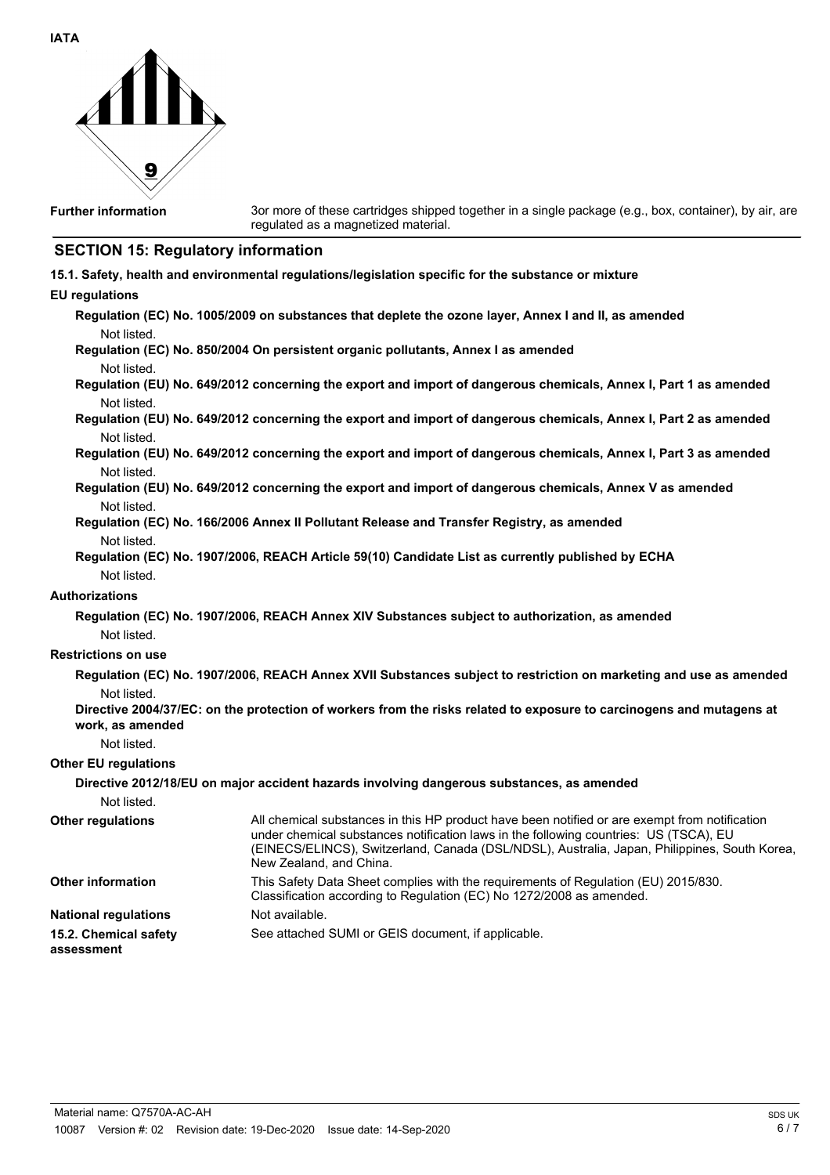

**Further information**

3or more of these cartridges shipped together in a single package (e.g., box, container), by air, are regulated as a magnetized material.

# **SECTION 15: Regulatory information**

|  | 15.1. Safety, health and environmental regulations/legislation specific for the substance or mixture |  |  |  |
|--|------------------------------------------------------------------------------------------------------|--|--|--|
|--|------------------------------------------------------------------------------------------------------|--|--|--|

## **EU regulations**

|                                     | Regulation (EC) No. 1005/2009 on substances that deplete the ozone layer, Annex I and II, as amended                                                                                                                                                                                                              |
|-------------------------------------|-------------------------------------------------------------------------------------------------------------------------------------------------------------------------------------------------------------------------------------------------------------------------------------------------------------------|
| Not listed.                         | Regulation (EC) No. 850/2004 On persistent organic pollutants, Annex I as amended                                                                                                                                                                                                                                 |
| Not listed.                         |                                                                                                                                                                                                                                                                                                                   |
|                                     | Regulation (EU) No. 649/2012 concerning the export and import of dangerous chemicals, Annex I, Part 1 as amended                                                                                                                                                                                                  |
| Not listed.                         |                                                                                                                                                                                                                                                                                                                   |
|                                     | Regulation (EU) No. 649/2012 concerning the export and import of dangerous chemicals, Annex I, Part 2 as amended                                                                                                                                                                                                  |
| Not listed.                         |                                                                                                                                                                                                                                                                                                                   |
|                                     | Regulation (EU) No. 649/2012 concerning the export and import of dangerous chemicals, Annex I, Part 3 as amended                                                                                                                                                                                                  |
| Not listed.                         |                                                                                                                                                                                                                                                                                                                   |
|                                     | Regulation (EU) No. 649/2012 concerning the export and import of dangerous chemicals, Annex V as amended                                                                                                                                                                                                          |
| Not listed.                         |                                                                                                                                                                                                                                                                                                                   |
|                                     | Regulation (EC) No. 166/2006 Annex II Pollutant Release and Transfer Registry, as amended                                                                                                                                                                                                                         |
| Not listed.                         | Regulation (EC) No. 1907/2006, REACH Article 59(10) Candidate List as currently published by ECHA                                                                                                                                                                                                                 |
| Not listed.                         |                                                                                                                                                                                                                                                                                                                   |
| Authorizations                      |                                                                                                                                                                                                                                                                                                                   |
|                                     | Regulation (EC) No. 1907/2006, REACH Annex XIV Substances subject to authorization, as amended                                                                                                                                                                                                                    |
| Not listed.                         |                                                                                                                                                                                                                                                                                                                   |
| <b>Restrictions on use</b>          |                                                                                                                                                                                                                                                                                                                   |
|                                     |                                                                                                                                                                                                                                                                                                                   |
|                                     | Regulation (EC) No. 1907/2006, REACH Annex XVII Substances subject to restriction on marketing and use as amended                                                                                                                                                                                                 |
| Not listed.                         | Directive 2004/37/EC: on the protection of workers from the risks related to exposure to carcinogens and mutagens at                                                                                                                                                                                              |
| work, as amended                    |                                                                                                                                                                                                                                                                                                                   |
| Not listed.                         |                                                                                                                                                                                                                                                                                                                   |
| <b>Other EU regulations</b>         |                                                                                                                                                                                                                                                                                                                   |
|                                     | Directive 2012/18/EU on major accident hazards involving dangerous substances, as amended                                                                                                                                                                                                                         |
| Not listed.                         |                                                                                                                                                                                                                                                                                                                   |
| <b>Other regulations</b>            | All chemical substances in this HP product have been notified or are exempt from notification<br>under chemical substances notification laws in the following countries: US (TSCA), EU<br>(EINECS/ELINCS), Switzerland, Canada (DSL/NDSL), Australia, Japan, Philippines, South Korea,<br>New Zealand, and China. |
| Other information                   | This Safety Data Sheet complies with the requirements of Regulation (EU) 2015/830.<br>Classification according to Regulation (EC) No 1272/2008 as amended.                                                                                                                                                        |
| <b>National regulations</b>         | Not available.                                                                                                                                                                                                                                                                                                    |
| 15.2. Chemical safety<br>assessment | See attached SUMI or GEIS document, if applicable.                                                                                                                                                                                                                                                                |
|                                     |                                                                                                                                                                                                                                                                                                                   |